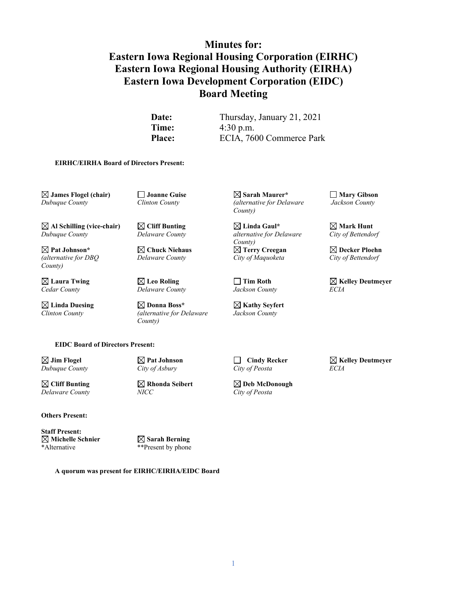# **Minutes for: Eastern Iowa Regional Housing Corporation (EIRHC) Eastern Iowa Regional Housing Authority (EIRHA) Eastern Iowa Development Corporation (EIDC) Board Meeting**

**Date:** Thursday, January 21, 2021 **Time:**  $4:30 \text{ p.m.}$ Place: ECIA, 7600 Commerce Park

#### **EIRHC/EIRHA Board of Directors Present:**

 $\Box$  **James Flogel (chair)**  $\Box$  **Joanne Guise**  $\Box$  **Sarah Maurer\***  $\Box$  **Mary Gibson**  $\Box$  **Mary Gibson**  $\Box$  **Mary Gibson**  $\Box$  **Mary Gibson**  $\Box$  **Mary Gibson**  $\Box$  **Mary Gibson**  $\Box$  **Mary Gibson**  $\Box$  **Mary Gibson**

*County)*

*Cedar County Delaware County Jackson County ECIA*

**Linda Duesing Donna Boss\* Kathy Seyfert** *Clinton County (alternative for Delaware Jackson County County)*

*<i>Calternative for Delaware County)*

 $\boxtimes$  **Al Schilling (vice-chair)**  $\boxtimes$  Cliff Bunting<br> *Dubuque County Delaware County Linda Gaul\**  $\boxtimes$  Mark Hunt<br> *City of Bettendorf Dubuque County Delaware County alternative for Delaware City of Bettendorf County)* **Pat Johnson\* Chuck Niehaus Terry Creegan Decker Ploehn** *(alternative for DBQ Delaware County City of Maquoketa City of Bettendorf*

 $\boxtimes$  **Laura Twing Leo Roling Celumeyer Cedar County** *Cedar County Leo Roling Leo Roling Leo Roling Leo Roling Leo Roling Leo Roling Leo Roling Leo Roling Leo Roling Leo Roling Leo Roling Le* 

**EIDC Board of Directors Present:**

*Delaware County NICC City of Peosta*

 $\boxtimes$  **Cliff Bunting**  $\cong$  **Rhonda Seibert**  $\cong$  **Deb McDonough**<br>*Delaware County NICC NICC City of Peosta* 

**Others Present:**

**Staff Present:**<br>⊠ Michelle Schnier **Michelle Schnier Sarah Berning**

\*\*Present by phone

**A quorum was present for EIRHC/EIRHA/EIDC Board**

**Jim Flogel Pat Johnson Cindy Recker Kelley Deutmeyer** *Dubuque County City of Asbury City of Peosta ECIA*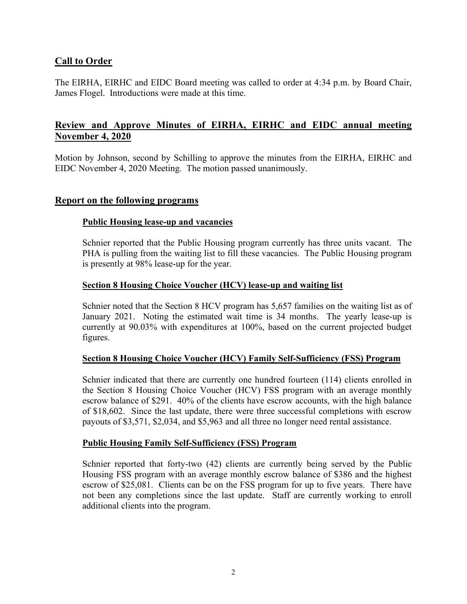## **Call to Order**

The EIRHA, EIRHC and EIDC Board meeting was called to order at 4:34 p.m. by Board Chair, James Flogel. Introductions were made at this time.

# **Review and Approve Minutes of EIRHA, EIRHC and EIDC annual meeting November 4, 2020**

Motion by Johnson, second by Schilling to approve the minutes from the EIRHA, EIRHC and EIDC November 4, 2020 Meeting. The motion passed unanimously.

## **Report on the following programs**

#### **Public Housing lease-up and vacancies**

Schnier reported that the Public Housing program currently has three units vacant. The PHA is pulling from the waiting list to fill these vacancies. The Public Housing program is presently at 98% lease-up for the year.

#### **Section 8 Housing Choice Voucher (HCV) lease-up and waiting list**

Schnier noted that the Section 8 HCV program has 5,657 families on the waiting list as of January 2021. Noting the estimated wait time is 34 months. The yearly lease-up is currently at 90.03% with expenditures at 100%, based on the current projected budget figures.

#### **Section 8 Housing Choice Voucher (HCV) Family Self-Sufficiency (FSS) Program**

Schnier indicated that there are currently one hundred fourteen (114) clients enrolled in the Section 8 Housing Choice Voucher (HCV) FSS program with an average monthly escrow balance of \$291. 40% of the clients have escrow accounts, with the high balance of \$18,602. Since the last update, there were three successful completions with escrow payouts of \$3,571, \$2,034, and \$5,963 and all three no longer need rental assistance.

#### **Public Housing Family Self-Sufficiency (FSS) Program**

Schnier reported that forty-two (42) clients are currently being served by the Public Housing FSS program with an average monthly escrow balance of \$386 and the highest escrow of \$25,081. Clients can be on the FSS program for up to five years. There have not been any completions since the last update. Staff are currently working to enroll additional clients into the program.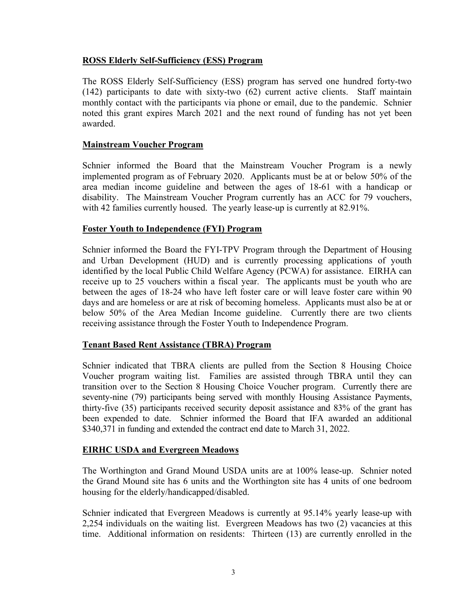#### **ROSS Elderly Self-Sufficiency (ESS) Program**

The ROSS Elderly Self-Sufficiency (ESS) program has served one hundred forty-two (142) participants to date with sixty-two (62) current active clients. Staff maintain monthly contact with the participants via phone or email, due to the pandemic. Schnier noted this grant expires March 2021 and the next round of funding has not yet been awarded.

#### **Mainstream Voucher Program**

Schnier informed the Board that the Mainstream Voucher Program is a newly implemented program as of February 2020. Applicants must be at or below 50% of the area median income guideline and between the ages of 18-61 with a handicap or disability. The Mainstream Voucher Program currently has an ACC for 79 vouchers, with 42 families currently housed. The yearly lease-up is currently at 82.91%.

#### **Foster Youth to Independence (FYI) Program**

Schnier informed the Board the FYI-TPV Program through the Department of Housing and Urban Development (HUD) and is currently processing applications of youth identified by the local Public Child Welfare Agency (PCWA) for assistance. EIRHA can receive up to 25 vouchers within a fiscal year. The applicants must be youth who are between the ages of 18-24 who have left foster care or will leave foster care within 90 days and are homeless or are at risk of becoming homeless. Applicants must also be at or below 50% of the Area Median Income guideline. Currently there are two clients receiving assistance through the Foster Youth to Independence Program.

#### **Tenant Based Rent Assistance (TBRA) Program**

Schnier indicated that TBRA clients are pulled from the Section 8 Housing Choice Voucher program waiting list. Families are assisted through TBRA until they can transition over to the Section 8 Housing Choice Voucher program. Currently there are seventy-nine (79) participants being served with monthly Housing Assistance Payments, thirty-five (35) participants received security deposit assistance and 83% of the grant has been expended to date. Schnier informed the Board that IFA awarded an additional \$340,371 in funding and extended the contract end date to March 31, 2022.

#### **EIRHC USDA and Evergreen Meadows**

The Worthington and Grand Mound USDA units are at 100% lease-up. Schnier noted the Grand Mound site has 6 units and the Worthington site has 4 units of one bedroom housing for the elderly/handicapped/disabled.

Schnier indicated that Evergreen Meadows is currently at 95.14% yearly lease-up with 2,254 individuals on the waiting list. Evergreen Meadows has two (2) vacancies at this time. Additional information on residents: Thirteen (13) are currently enrolled in the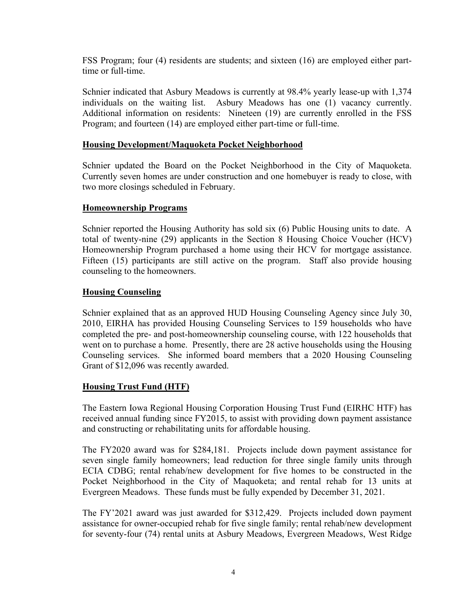FSS Program; four (4) residents are students; and sixteen (16) are employed either parttime or full-time.

Schnier indicated that Asbury Meadows is currently at 98.4% yearly lease-up with 1,374 individuals on the waiting list. Asbury Meadows has one (1) vacancy currently. Additional information on residents: Nineteen (19) are currently enrolled in the FSS Program; and fourteen (14) are employed either part-time or full-time.

#### **Housing Development/Maquoketa Pocket Neighborhood**

Schnier updated the Board on the Pocket Neighborhood in the City of Maquoketa. Currently seven homes are under construction and one homebuyer is ready to close, with two more closings scheduled in February.

#### **Homeownership Programs**

Schnier reported the Housing Authority has sold six (6) Public Housing units to date. A total of twenty-nine (29) applicants in the Section 8 Housing Choice Voucher (HCV) Homeownership Program purchased a home using their HCV for mortgage assistance. Fifteen (15) participants are still active on the program. Staff also provide housing counseling to the homeowners.

#### **Housing Counseling**

Schnier explained that as an approved HUD Housing Counseling Agency since July 30, 2010, EIRHA has provided Housing Counseling Services to 159 households who have completed the pre- and post-homeownership counseling course, with 122 households that went on to purchase a home. Presently, there are 28 active households using the Housing Counseling services. She informed board members that a 2020 Housing Counseling Grant of \$12,096 was recently awarded.

## **Housing Trust Fund (HTF)**

The Eastern Iowa Regional Housing Corporation Housing Trust Fund (EIRHC HTF) has received annual funding since FY2015, to assist with providing down payment assistance and constructing or rehabilitating units for affordable housing.

The FY2020 award was for \$284,181. Projects include down payment assistance for seven single family homeowners; lead reduction for three single family units through ECIA CDBG; rental rehab/new development for five homes to be constructed in the Pocket Neighborhood in the City of Maquoketa; and rental rehab for 13 units at Evergreen Meadows. These funds must be fully expended by December 31, 2021.

The FY'2021 award was just awarded for \$312,429. Projects included down payment assistance for owner-occupied rehab for five single family; rental rehab/new development for seventy-four (74) rental units at Asbury Meadows, Evergreen Meadows, West Ridge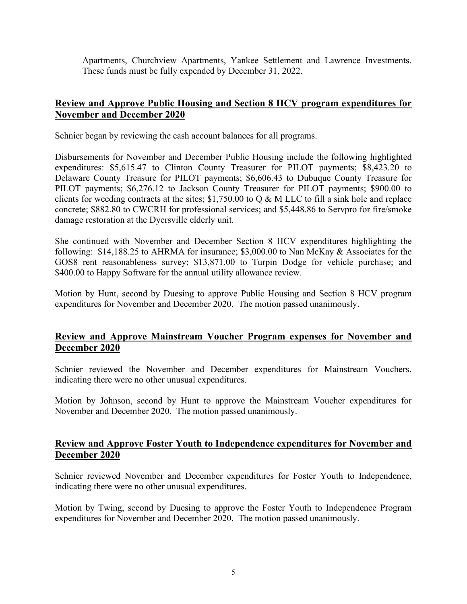Apartments, Churchview Apartments, Yankee Settlement and Lawrence Investments. These funds must be fully expended by December 31, 2022.

# **Review and Approve Public Housing and Section 8 HCV program expenditures for November and December 2020**

Schnier began by reviewing the cash account balances for all programs.

Disbursements for November and December Public Housing include the following highlighted expenditures: \$5,615.47 to Clinton County Treasurer for PILOT payments; \$8,423.20 to Delaware County Treasure for PILOT payments; \$6,606.43 to Dubuque County Treasure for PILOT payments; \$6,276.12 to Jackson County Treasurer for PILOT payments; \$900.00 to clients for weeding contracts at the sites;  $$1,750.00$  to Q & M LLC to fill a sink hole and replace concrete; \$882.80 to CWCRH for professional services; and \$5,448.86 to Servpro for fire/smoke damage restoration at the Dyersville elderly unit.

She continued with November and December Section 8 HCV expenditures highlighting the following: \$14,188.25 to AHRMA for insurance; \$3,000.00 to Nan McKay & Associates for the GOS8 rent reasonableness survey; \$13,871.00 to Turpin Dodge for vehicle purchase; and \$400.00 to Happy Software for the annual utility allowance review.

Motion by Hunt, second by Duesing to approve Public Housing and Section 8 HCV program expenditures for November and December 2020. The motion passed unanimously.

# **Review and Approve Mainstream Voucher Program expenses for November and December 2020**

Schnier reviewed the November and December expenditures for Mainstream Vouchers, indicating there were no other unusual expenditures.

Motion by Johnson, second by Hunt to approve the Mainstream Voucher expenditures for November and December 2020. The motion passed unanimously.

## **Review and Approve Foster Youth to Independence expenditures for November and December 2020**

Schnier reviewed November and December expenditures for Foster Youth to Independence, indicating there were no other unusual expenditures.

Motion by Twing, second by Duesing to approve the Foster Youth to Independence Program expenditures for November and December 2020. The motion passed unanimously.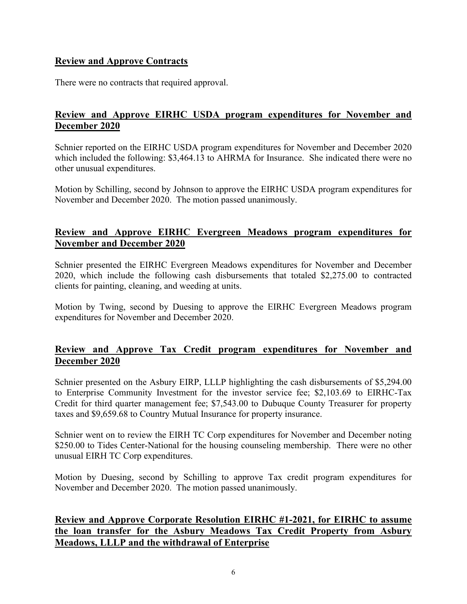# **Review and Approve Contracts**

There were no contracts that required approval.

# **Review and Approve EIRHC USDA program expenditures for November and December 2020**

Schnier reported on the EIRHC USDA program expenditures for November and December 2020 which included the following: \$3,464.13 to AHRMA for Insurance. She indicated there were no other unusual expenditures.

Motion by Schilling, second by Johnson to approve the EIRHC USDA program expenditures for November and December 2020. The motion passed unanimously.

## **Review and Approve EIRHC Evergreen Meadows program expenditures for November and December 2020**

Schnier presented the EIRHC Evergreen Meadows expenditures for November and December 2020, which include the following cash disbursements that totaled \$2,275.00 to contracted clients for painting, cleaning, and weeding at units.

Motion by Twing, second by Duesing to approve the EIRHC Evergreen Meadows program expenditures for November and December 2020.

## **Review and Approve Tax Credit program expenditures for November and December 2020**

Schnier presented on the Asbury EIRP, LLLP highlighting the cash disbursements of \$5,294.00 to Enterprise Community Investment for the investor service fee; \$2,103.69 to EIRHC-Tax Credit for third quarter management fee; \$7,543.00 to Dubuque County Treasurer for property taxes and \$9,659.68 to Country Mutual Insurance for property insurance.

Schnier went on to review the EIRH TC Corp expenditures for November and December noting \$250.00 to Tides Center-National for the housing counseling membership. There were no other unusual EIRH TC Corp expenditures.

Motion by Duesing, second by Schilling to approve Tax credit program expenditures for November and December 2020. The motion passed unanimously.

# **Review and Approve Corporate Resolution EIRHC #1-2021, for EIRHC to assume the loan transfer for the Asbury Meadows Tax Credit Property from Asbury Meadows, LLLP and the withdrawal of Enterprise**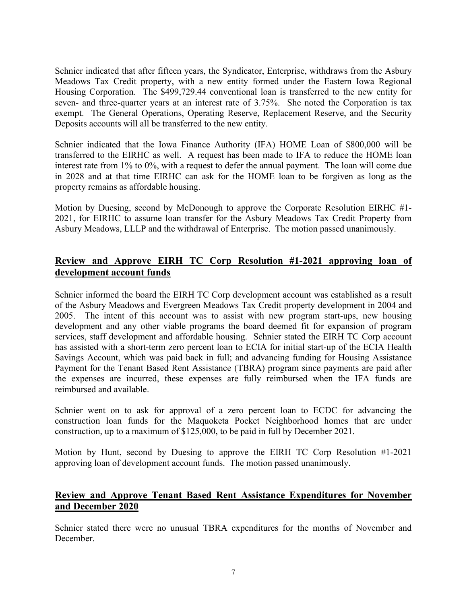Schnier indicated that after fifteen years, the Syndicator, Enterprise, withdraws from the Asbury Meadows Tax Credit property, with a new entity formed under the Eastern Iowa Regional Housing Corporation. The \$499,729.44 conventional loan is transferred to the new entity for seven- and three-quarter years at an interest rate of 3.75%. She noted the Corporation is tax exempt. The General Operations, Operating Reserve, Replacement Reserve, and the Security Deposits accounts will all be transferred to the new entity.

Schnier indicated that the Iowa Finance Authority (IFA) HOME Loan of \$800,000 will be transferred to the EIRHC as well. A request has been made to IFA to reduce the HOME loan interest rate from 1% to 0%, with a request to defer the annual payment. The loan will come due in 2028 and at that time EIRHC can ask for the HOME loan to be forgiven as long as the property remains as affordable housing.

Motion by Duesing, second by McDonough to approve the Corporate Resolution EIRHC #1- 2021, for EIRHC to assume loan transfer for the Asbury Meadows Tax Credit Property from Asbury Meadows, LLLP and the withdrawal of Enterprise. The motion passed unanimously.

# **Review and Approve EIRH TC Corp Resolution #1-2021 approving loan of development account funds**

Schnier informed the board the EIRH TC Corp development account was established as a result of the Asbury Meadows and Evergreen Meadows Tax Credit property development in 2004 and 2005. The intent of this account was to assist with new program start-ups, new housing development and any other viable programs the board deemed fit for expansion of program services, staff development and affordable housing. Schnier stated the EIRH TC Corp account has assisted with a short-term zero percent loan to ECIA for initial start-up of the ECIA Health Savings Account, which was paid back in full; and advancing funding for Housing Assistance Payment for the Tenant Based Rent Assistance (TBRA) program since payments are paid after the expenses are incurred, these expenses are fully reimbursed when the IFA funds are reimbursed and available.

Schnier went on to ask for approval of a zero percent loan to ECDC for advancing the construction loan funds for the Maquoketa Pocket Neighborhood homes that are under construction, up to a maximum of \$125,000, to be paid in full by December 2021.

Motion by Hunt, second by Duesing to approve the EIRH TC Corp Resolution #1-2021 approving loan of development account funds. The motion passed unanimously.

## **Review and Approve Tenant Based Rent Assistance Expenditures for November and December 2020**

Schnier stated there were no unusual TBRA expenditures for the months of November and December.